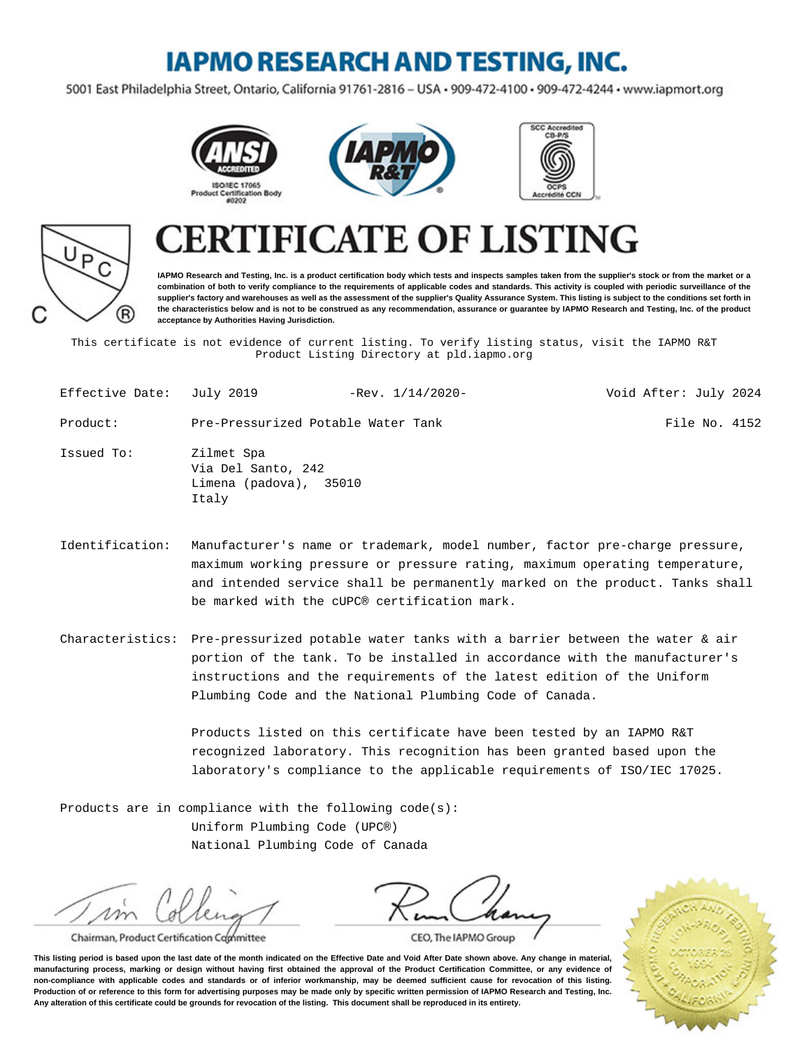### **IAPMO RESEARCH AND TESTING, INC.**

5001 East Philadelphia Street, Ontario, California 91761-2816 - USA · 909-472-4100 · 909-472-4244 · www.iapmort.org







# P R)

## **CATE OF LISTING**

**IAPMO Research and Testing, Inc. is a product certification body which tests and inspects samples taken from the supplier's stock or from the market or a combination of both to verify compliance to the requirements of applicable codes and standards. This activity is coupled with periodic surveillance of the supplier's factory and warehouses as well as the assessment of the supplier's Quality Assurance System. This listing is subject to the conditions set forth in the characteristics below and is not to be construed as any recommendation, assurance or guarantee by IAPMO Research and Testing, Inc. of the product acceptance by Authorities Having Jurisdiction.**

This certificate is not evidence of current listing. To verify listing status, visit the IAPMO R&T Product Listing Directory at pld.iapmo.org

| Effective Date: July 2019 |                                                                     | $-$ Rev. $1/14/2020-$ | Void After: July 2024 |
|---------------------------|---------------------------------------------------------------------|-----------------------|-----------------------|
| Product:                  | Pre-Pressurized Potable Water Tank                                  |                       | File No. 4152         |
| Issued To:                | Zilmet Spa<br>Via Del Santo, 242<br>Limena (padova), 35010<br>Italy |                       |                       |

- Identification: Manufacturer's name or trademark, model number, factor pre-charge pressure, maximum working pressure or pressure rating, maximum operating temperature, and intended service shall be permanently marked on the product. Tanks shall be marked with the cUPC® certification mark.
- Characteristics: Pre-pressurized potable water tanks with a barrier between the water & air portion of the tank. To be installed in accordance with the manufacturer's instructions and the requirements of the latest edition of the Uniform Plumbing Code and the National Plumbing Code of Canada.

Products listed on this certificate have been tested by an IAPMO R&T recognized laboratory. This recognition has been granted based upon the laboratory's compliance to the applicable requirements of ISO/IEC 17025.

Products are in compliance with the following code(s): Uniform Plumbing Code (UPC®) National Plumbing Code of Canada

m

Chairman, Product Certification Committee

CEO, The IAPMO Group

**This listing period is based upon the last date of the month indicated on the Effective Date and Void After Date shown above. Any change in material, manufacturing process, marking or design without having first obtained the approval of the Product Certification Committee, or any evidence of non-compliance with applicable codes and standards or of inferior workmanship, may be deemed sufficient cause for revocation of this listing. Production of or reference to this form for advertising purposes may be made only by specific written permission of IAPMO Research and Testing, Inc. Any alteration of this certificate could be grounds for revocation of the listing. This document shall be reproduced in its entirety.**

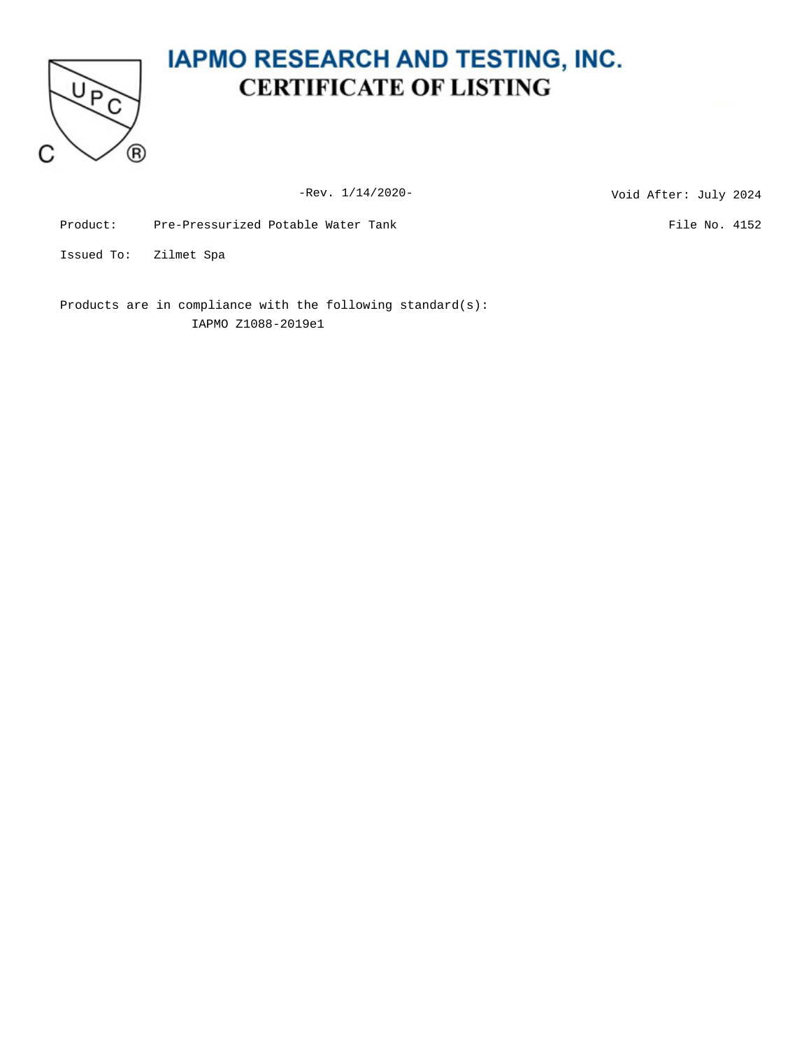

### **IAPMO RESEARCH AND TESTING, INC. CERTIFICATE OF LISTING**

-Rev. 1/14/2020-<br>
Void After: July 2024

Product: Pre-Pressurized Potable Water Tank File No. 4152

Issued To: Zilmet Spa

Products are in compliance with the following standard(s): IAPMO Z1088-2019e1